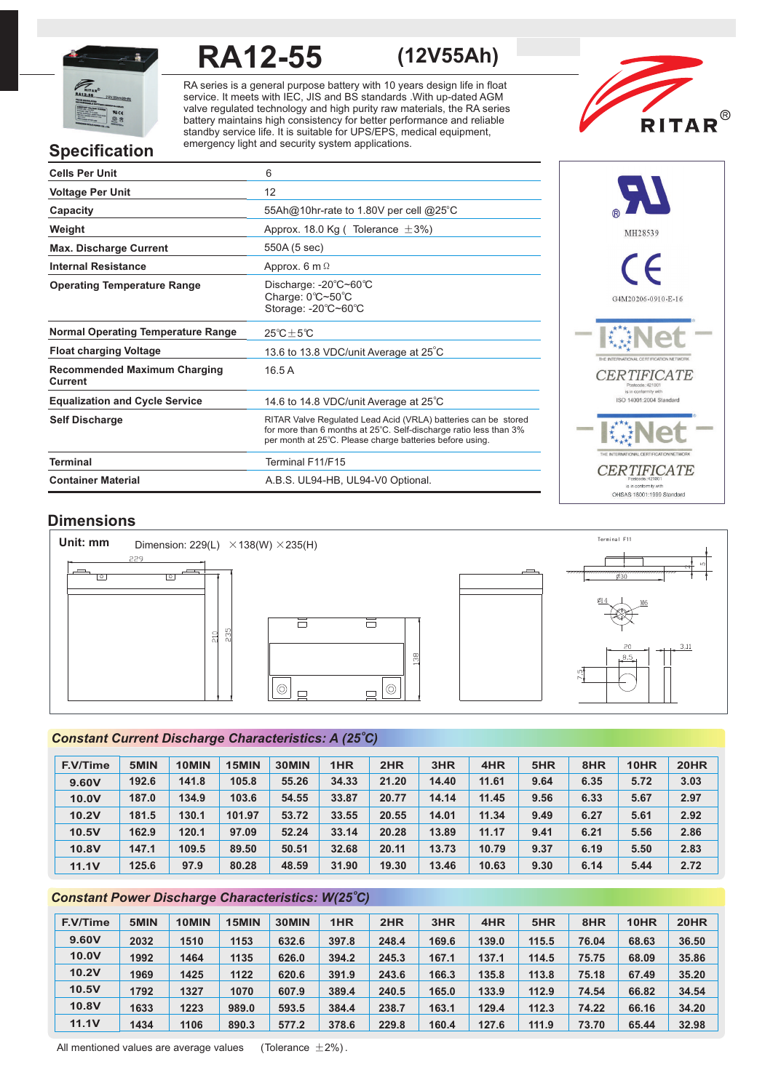

# **RA12-55 (12V55Ah)**

RA series is a general purpose battery with 10 years design life in float service. It meets with IEC, JIS and BS standards .With up-dated AGM valve regulated technology and high purity raw materials, the RA series battery maintains high consistency for better performance and reliable standby service life. It is suitable for UPS/EPS, medical equipment, emergency light and security system applications.



# **Specification**

| <b>Cells Per Unit</b>                          | 6                                                                                                                                                                                               |
|------------------------------------------------|-------------------------------------------------------------------------------------------------------------------------------------------------------------------------------------------------|
| <b>Voltage Per Unit</b>                        | 12                                                                                                                                                                                              |
| Capacity                                       | 55Ah@10hr-rate to 1.80V per cell @25°C                                                                                                                                                          |
| Weight                                         | Approx. 18.0 Kg (Tolerance $\pm$ 3%)                                                                                                                                                            |
| <b>Max. Discharge Current</b>                  | 550A (5 sec)                                                                                                                                                                                    |
| <b>Internal Resistance</b>                     | Approx. $6 \text{ m } \Omega$                                                                                                                                                                   |
| <b>Operating Temperature Range</b>             | Discharge: -20°C~60°C<br>Charge: 0°C~50°C<br>Storage: -20°C~60°C                                                                                                                                |
| <b>Normal Operating Temperature Range</b>      | $25^{\circ}C + 5^{\circ}C$                                                                                                                                                                      |
| <b>Float charging Voltage</b>                  | 13.6 to 13.8 VDC/unit Average at 25°C                                                                                                                                                           |
| <b>Recommended Maximum Charging</b><br>Current | 16.5A                                                                                                                                                                                           |
| <b>Equalization and Cycle Service</b>          | 14.6 to 14.8 VDC/unit Average at 25°C                                                                                                                                                           |
| <b>Self Discharge</b>                          | RITAR Valve Regulated Lead Acid (VRLA) batteries can be stored<br>for more than 6 months at 25°C. Self-discharge ratio less than 3%<br>per month at 25°C. Please charge batteries before using. |
| <b>Terminal</b>                                | Terminal F11/F15                                                                                                                                                                                |
| <b>Container Material</b>                      | A.B.S. UL94-HB, UL94-V0 Optional.                                                                                                                                                               |



# **Dimensions**



# *o Constant Current Discharge Characteristics: A (25 C)*

| <b>F.V/Time</b> | 5MIN  | 10MIN | 15MIN  | 30MIN | 1HR   | 2HR   | 3HR   | 4HR   | 5HR  | 8HR  | 10HR | <b>20HR</b> |
|-----------------|-------|-------|--------|-------|-------|-------|-------|-------|------|------|------|-------------|
| 9.60V           | 192.6 | 141.8 | 105.8  | 55.26 | 34.33 | 21.20 | 14.40 | 11.61 | 9.64 | 6.35 | 5.72 | 3.03        |
| 10.0V           | 187.0 | 134.9 | 103.6  | 54.55 | 33.87 | 20.77 | 14.14 | 11.45 | 9.56 | 6.33 | 5.67 | 2.97        |
| 10.2V           | 181.5 | 130.1 | 101.97 | 53.72 | 33.55 | 20.55 | 14.01 | 11.34 | 9.49 | 6.27 | 5.61 | 2.92        |
| 10.5V           | 162.9 | 120.1 | 97.09  | 52.24 | 33.14 | 20.28 | 13.89 | 11.17 | 9.41 | 6.21 | 5.56 | 2.86        |
| <b>10.8V</b>    | 147.1 | 109.5 | 89.50  | 50.51 | 32.68 | 20.11 | 13.73 | 10.79 | 9.37 | 6.19 | 5.50 | 2.83        |
| <b>11.1V</b>    | 125.6 | 97.9  | 80.28  | 48.59 | 31.90 | 19.30 | 13.46 | 10.63 | 9.30 | 6.14 | 5.44 | 2.72        |

# *o Constant Power Discharge Characteristics: W(25 C)*

| F.V/Time | 5MIN | 10MIN | 15MIN | 30MIN | 1HR   | 2HR   | 3HR   | 4HR   | 5HR   | 8HR   | 10HR  | <b>20HR</b> |
|----------|------|-------|-------|-------|-------|-------|-------|-------|-------|-------|-------|-------------|
| 9.60V    | 2032 | 1510  | 1153  | 632.6 | 397.8 | 248.4 | 169.6 | 139.0 | 115.5 | 76.04 | 68.63 | 36.50       |
| 10.0V    | 1992 | 1464  | 1135  | 626.0 | 394.2 | 245.3 | 167.1 | 137.1 | 114.5 | 75.75 | 68.09 | 35.86       |
| 10.2V    | 1969 | 1425  | 1122  | 620.6 | 391.9 | 243.6 | 166.3 | 135.8 | 113.8 | 75.18 | 67.49 | 35.20       |
| 10.5V    | 1792 | 1327  | 1070  | 607.9 | 389.4 | 240.5 | 165.0 | 133.9 | 112.9 | 74.54 | 66.82 | 34.54       |
| 10.8V    | 1633 | 1223  | 989.0 | 593.5 | 384.4 | 238.7 | 163.1 | 129.4 | 112.3 | 74.22 | 66.16 | 34.20       |
| 11.1V    | 1434 | 1106  | 890.3 | 577.2 | 378.6 | 229.8 | 160.4 | 127.6 | 111.9 | 73.70 | 65.44 | 32.98       |

All mentioned values are average values (Tolerance  $\pm 2\%$ ).